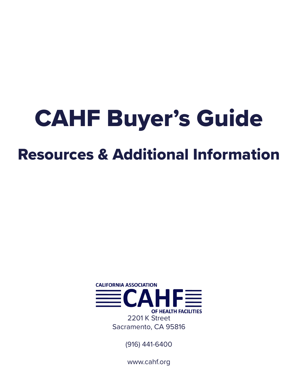# CAHF Buyer's Guide

# Resources & Additional Information



(916) 441-6400

www.cahf.org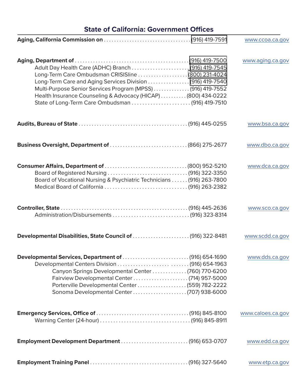| <b>State of California: Government Offices</b>                                                                                                                                                                                                      |                   |  |
|-----------------------------------------------------------------------------------------------------------------------------------------------------------------------------------------------------------------------------------------------------|-------------------|--|
|                                                                                                                                                                                                                                                     | www.ccoa.ca.gov   |  |
| Long-Term Care Ombudsman CRISISline  (800) 231-4024<br>Long-Term Care and Aging Services Division  (916) 419-7540<br>Multi-Purpose Senior Services Program (MPSS)  (916) 419-7552<br>Health Insurance Counseling & Advocacy (HICAP)  (800) 434-0222 | www.aging.ca.gov  |  |
|                                                                                                                                                                                                                                                     | www.bsa.ca.gov    |  |
|                                                                                                                                                                                                                                                     | www.dbo.ca.gov    |  |
| Board of Vocational Nursing & Psychiatric Technicians (916) 263-7800                                                                                                                                                                                | www.dca.ca.gov    |  |
|                                                                                                                                                                                                                                                     | www.sco.ca.gov    |  |
| Developmental Disabilities, State Council of (916) 322-8481                                                                                                                                                                                         | www.scdd.ca.gov   |  |
| Canyon Springs Developmental Center (760) 770-6200                                                                                                                                                                                                  | www.dds.ca.gov    |  |
|                                                                                                                                                                                                                                                     | www.caloes.ca.gov |  |
|                                                                                                                                                                                                                                                     | www.edd.ca.gov    |  |
|                                                                                                                                                                                                                                                     | www.etp.ca.gov    |  |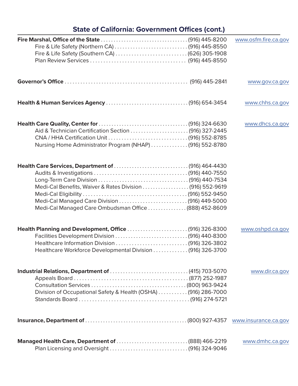#### **State of California: Government Offices (cont.)**

|                                                                                                                                                                        | www.osfm.fire.ca.gov |
|------------------------------------------------------------------------------------------------------------------------------------------------------------------------|----------------------|
|                                                                                                                                                                        | www.gov.ca.gov       |
|                                                                                                                                                                        | www.chhs.ca.gov      |
| Aid & Technician Certification Section  (916) 327-2445<br>Nursing Home Administrator Program (NHAP)  (916) 552-8780                                                    | www.dhcs.ca.gov      |
| Medi-Cal Managed Care Division  (916) 449-5000<br>Medi-Cal Managed Care Ombudsman Office  (888) 452-8609                                                               |                      |
| Health Planning and Development, Office (916) 326-8300<br>Facilities Development Division (916) 440-8300<br>Healthcare Workforce Developmental Division (916) 326-3700 | www.oshpd.ca.gov     |
| Division of Occupational Safety & Health (OSHA)  (916) 286-7000                                                                                                        | www.dir.ca.gov       |
|                                                                                                                                                                        |                      |
| Managed Health Care, Department of (888) 466-2219                                                                                                                      | www.dmhc.ca.gov      |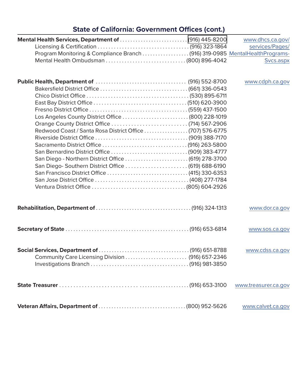| <b>State of California: Government Offices (cont.)</b> |  |  |  |
|--------------------------------------------------------|--|--|--|
|--------------------------------------------------------|--|--|--|

| Mental Health Services, Department of (916) 445-8200<br>Program Monitoring & Compliance Branch (916) 319-0985 MentalHealthPrograms-                               | www.dhcs.ca.gov/<br>services/Pages/<br>Svcs.aspx |
|-------------------------------------------------------------------------------------------------------------------------------------------------------------------|--------------------------------------------------|
| Los Angeles County District Office  (800) 228-1019<br>San Diego - Northern District Office  (619) 278-3700<br>San Diego- Southern District Office  (619) 688-6190 | www.cdph.ca.gov                                  |
|                                                                                                                                                                   | www.dor.ca.gov                                   |
|                                                                                                                                                                   | www.sos.ca.gov                                   |
| Community Care Licensing Division  (916) 657-2346                                                                                                                 | www.cdss.ca.gov                                  |
|                                                                                                                                                                   | www.treasurer.ca.gov                             |
|                                                                                                                                                                   | www.calvet.ca.gov                                |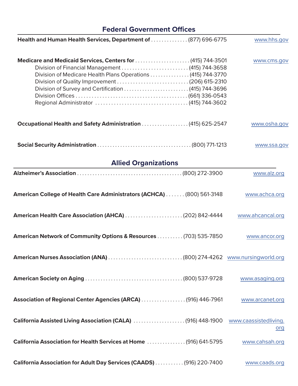| <b>Federal Government Offices</b>                                                                                          |                  |  |
|----------------------------------------------------------------------------------------------------------------------------|------------------|--|
| Health and Human Health Services, Department of  (877) 696-6775                                                            | www.hhs.gov      |  |
| Medicare and Medicaid Services, Centers for (415) 744-3501<br>Division of Medicare Health Plans Operations  (415) 744-3770 | www.cms.gov      |  |
| Occupational Health and Safety Administration (415) 625-2547                                                               | www.osha.gov     |  |
|                                                                                                                            | www.ssa.gov      |  |
| <b>Allied Organizations</b>                                                                                                |                  |  |
|                                                                                                                            | www.alz.org      |  |
| American College of Health Care Administrators (ACHCA)  (800) 561-3148                                                     | www.achca.org    |  |
|                                                                                                                            | www.ahcancal.org |  |
| American Network of Community Options & Resources (703) 535-7850                                                           | www.ancor.org    |  |
| American Nurses Association (ANA)  (800) 274-4262 www.nursingworld.org                                                     |                  |  |
|                                                                                                                            | www.asaging.org  |  |
| Association of Regional Center Agencies (ARCA)  (916) 446-7961                                                             | www.arcanet.org  |  |
| California Assisted Living Association (CALA) (916) 448-1900 www.caassistedliving.                                         | <u>org</u>       |  |
| California Association for Health Services at Home  (916) 641-5795                                                         | www.cahsah.org   |  |
| California Association for Adult Day Services (CAADS)  (916) 220-7400                                                      | www.caads.org    |  |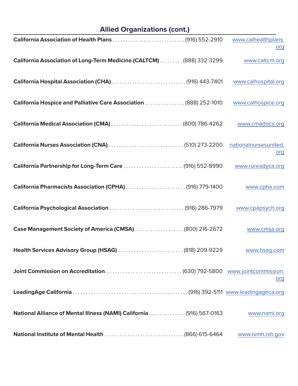## **Allied Organizations (cont.)**

|                                                                      | www.calhealthplans.<br>org   |
|----------------------------------------------------------------------|------------------------------|
| California Association of Long-Term Medicine (CALTCM) (888) 332-3299 | www.caltcm.org               |
|                                                                      | www.calhospital.org          |
| California Hospice and Palliative Care Association  (888) 252-1010   | www.calhospice.org           |
| California Medical Association (CMA) (800) 786-4262                  | www.cmadocs.org              |
|                                                                      | nationalnursesunited.<br>org |
| California Partnership for Long-Term Care (916) 552-8990             | www.rureadyca.org            |
| California Pharmacists Association (CPHA)  (916) 779-1400            | www.cpha.com                 |
|                                                                      | www.cpapsych.org             |
| Case Management Society of America (CMSA)  (800) 216-2672            | www.cmsa.org                 |
| Health Services Advisory Group (HSAG) (818) 209-9229                 | www.hsag.com                 |
|                                                                      | <u>org</u>                   |
|                                                                      |                              |
| National Alliance of Mental Illness (NAMI) California 916) 567-0163  | www.nami.org                 |
|                                                                      | www.nimh.nih.gov             |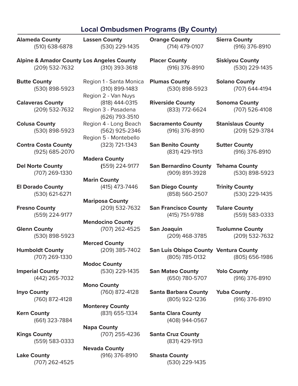#### **Local Ombudsmen Programs (By County)**

| <b>Alameda County</b>                                | <b>Lassen County</b>                                             | <b>Orange County</b>                         | <b>Sierra County</b>                       |
|------------------------------------------------------|------------------------------------------------------------------|----------------------------------------------|--------------------------------------------|
| (510) 638-6878                                       | (530) 229-1435                                                   | (714) 479-0107                               | (916) 376-8910                             |
| <b>Alpine &amp; Amador County Los Angeles County</b> | (310) 393-3618                                                   | <b>Placer County</b>                         | <b>Siskiyou County</b>                     |
| (209) 532-7632                                       |                                                                  | (916) 376-8910                               | (530) 229-1435                             |
| <b>Butte County</b><br>(530) 898-5923                | Region 1 - Santa Monica<br>(310) 899-1483<br>Region 2 - Van Nuys | <b>Plumas County</b><br>(530) 898-5923       | <b>Solano County</b><br>(707) 644-4194     |
| <b>Calaveras County</b><br>(209) 532-7632            | (818) 444-0315<br>Region 3 - Pasadena<br>(626) 793-3510          | <b>Riverside County</b><br>(833) 772-6624    | <b>Sonoma County</b><br>(707) 526-4108     |
| <b>Colusa County</b><br>(530) 898-5923               | Region 4 - Long Beach<br>(562) 925-2346<br>Region 5 - Montebello | <b>Sacramento County</b><br>(916) 376-8910   | <b>Stanislaus County</b><br>(209) 529-3784 |
| <b>Contra Costa County</b>                           | (323) 721-1343                                                   | <b>San Benito County</b>                     | <b>Sutter County</b>                       |
| (925) 685-2070                                       |                                                                  | (831) 429-1913                               | (916) 376-8910                             |
| <b>Del Norte County</b>                              | <b>Madera County</b>                                             | <b>San Bernardino County Tehama County</b>   | (530) 898-5923                             |
| (707) 269-1330                                       | (559) 224-9177                                                   | (909) 891-3928                               |                                            |
| <b>El Dorado County</b>                              | <b>Marin County</b>                                              | <b>San Diego County</b>                      | <b>Trinity County</b>                      |
| (530) 621-6271                                       | (415) 473-7446                                                   | (858) 560-2507                               | (530) 229-1435                             |
| <b>Fresno County</b>                                 | <b>Mariposa County</b>                                           | <b>San Francisco County</b>                  | <b>Tulare County</b>                       |
| (559) 224-9177                                       | (209) 532-7632                                                   | (415) 751-9788                               | (559) 583-0333                             |
| <b>Glenn County</b>                                  | <b>Mendocino County</b>                                          | San Joaquin                                  | <b>Tuolumne County</b>                     |
| (530) 898-5923                                       | (707) 262-4525                                                   | (209) 468-3785                               | (209) 532-7632                             |
| <b>Humboldt County</b>                               | <b>Merced County</b>                                             | <b>San Luis Obispo County Ventura County</b> | (805) 656-1986                             |
| (707) 269-1330                                       | (209) 385-7402                                                   | (805) 785-0132                               |                                            |
| <b>Imperial County</b>                               | <b>Modoc County</b>                                              | <b>San Mateo County</b>                      | <b>Yolo County</b>                         |
| (442) 265-7032                                       | (530) 229-1435                                                   | (650) 780-5707                               | (916) 376-8910                             |
| <b>Inyo County</b>                                   | <b>Mono County</b>                                               | <b>Santa Barbara County</b>                  | <b>Yuba County.</b>                        |
| (760) 872-4128                                       | (760) 872-4128                                                   | (805) 922-1236                               | (916) 376-8910                             |
| <b>Kern County</b>                                   | <b>Monterey County</b>                                           | <b>Santa Clara County</b>                    |                                            |
| (661) 323-7884                                       | (831) 655-1334                                                   | (408) 944-0567                               |                                            |
| <b>Kings County</b>                                  | <b>Napa County</b>                                               | <b>Santa Cruz County</b>                     |                                            |
| (559) 583-0333                                       | (707) 255-4236                                                   | (831) 429-1913                               |                                            |
| <b>Lake County</b>                                   | <b>Nevada County</b><br>(916) 376-8910                           | <b>Shasta County</b>                         |                                            |

(530) 229-1435

**Lake County** (707) 262-4525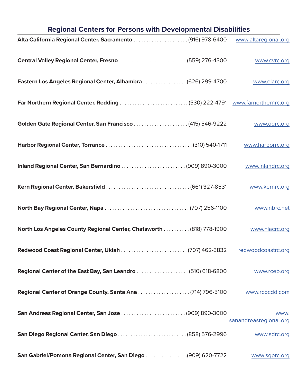| <b>Regional Centers for Persons with Developmental Disabilities</b>        |                                |
|----------------------------------------------------------------------------|--------------------------------|
|                                                                            | www.altaregional.org           |
|                                                                            | www.cvrc.org                   |
| Eastern Los Angeles Regional Center, Alhambra (626) 299-4700               | www.elarc.org                  |
| Far Northern Regional Center, Redding (530) 222-4791 www.farnorthernrc.org |                                |
| Golden Gate Regional Center, San Francisco(415) 546-9222                   | www.ggrc.org                   |
|                                                                            | www.harborrc.org               |
| Inland Regional Center, San Bernardino (909) 890-3000                      | www.inlandrc.org               |
|                                                                            | www.kernrc.org                 |
|                                                                            | www.nbrc.net                   |
| North Los Angeles County Regional Center, Chatsworth  (818) 778-1900       | www.nlacrc.org                 |
|                                                                            | redwoodcoastrc.org             |
|                                                                            | www.rceb.org                   |
|                                                                            | www.rcocdd.com                 |
| San Andreas Regional Center, San Jose  (909) 890-3000                      | WWW.<br>sanandreasregional.org |
| San Diego Regional Center, San Diego (858) 576-2996                        | www.sdrc.org                   |
| San Gabriel/Pomona Regional Center, San Diego (909) 620-7722               | www.sgprc.org                  |